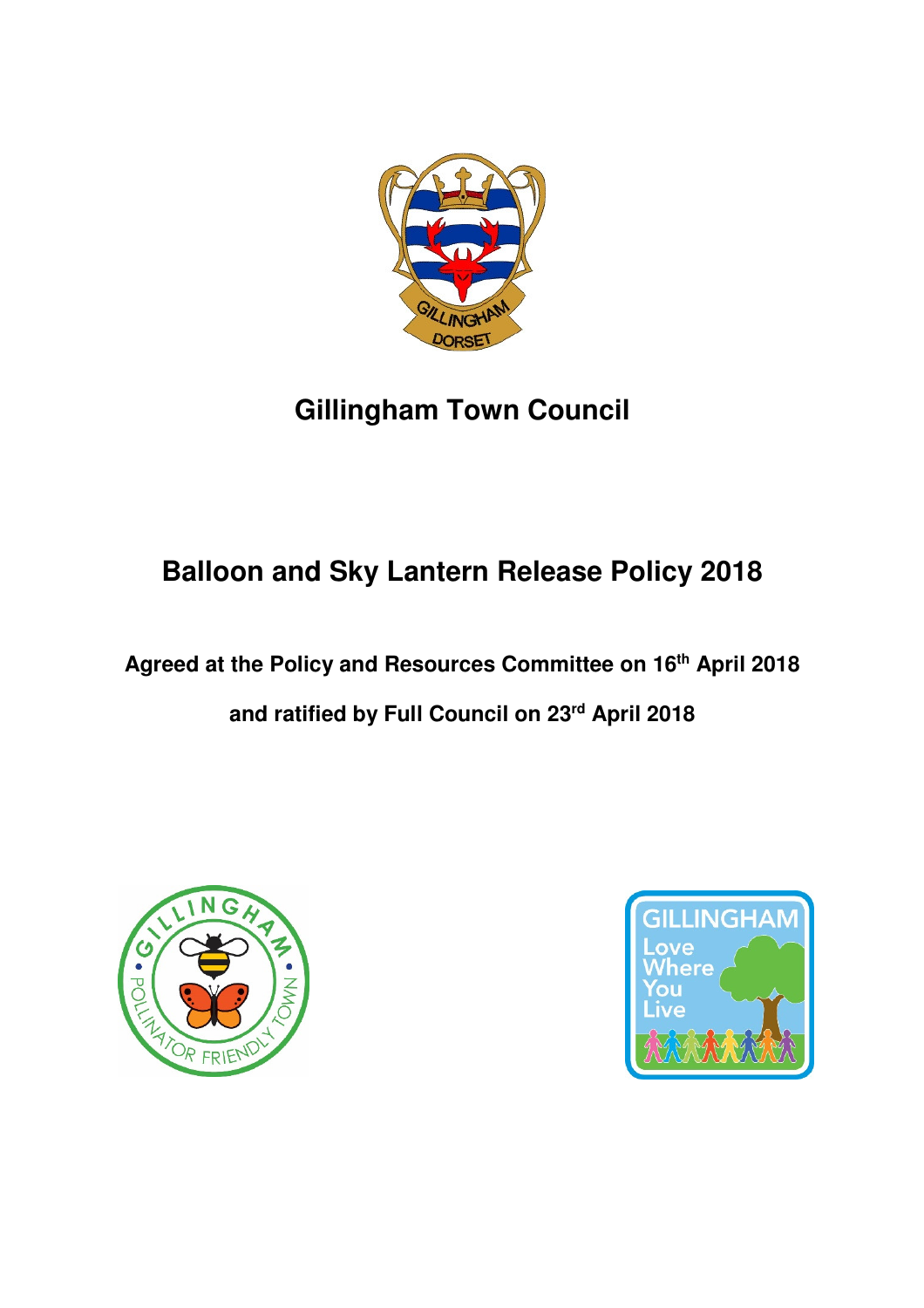

# **Gillingham Town Council**

## **Balloon and Sky Lantern Release Policy 2018**

**Agreed at the Policy and Resources Committee on 16th April 2018** 

**and ratified by Full Council on 23rd April 2018** 



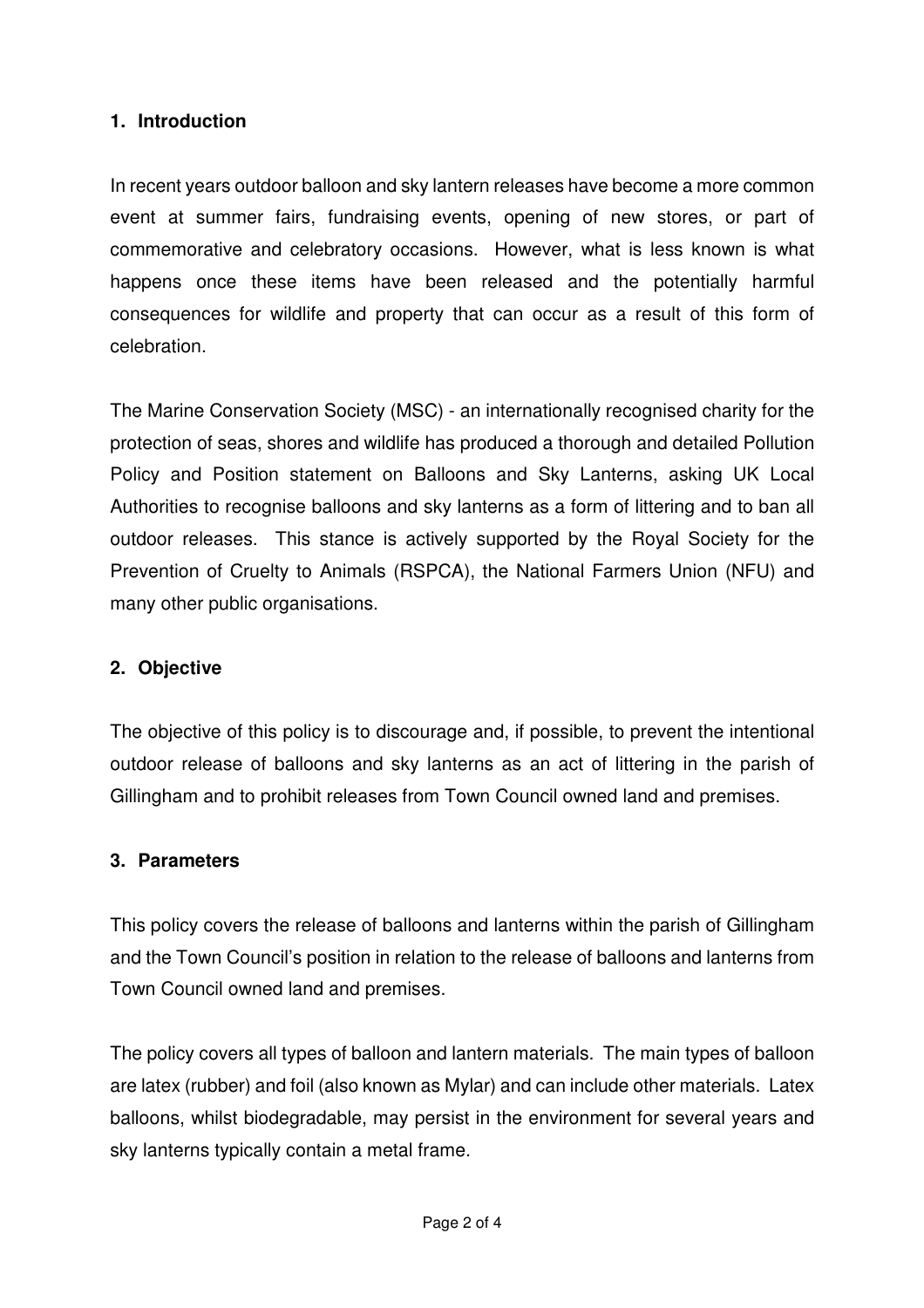#### **1. Introduction**

In recent years outdoor balloon and sky lantern releases have become a more common event at summer fairs, fundraising events, opening of new stores, or part of commemorative and celebratory occasions. However, what is less known is what happens once these items have been released and the potentially harmful consequences for wildlife and property that can occur as a result of this form of celebration.

The Marine Conservation Society (MSC) - an internationally recognised charity for the protection of seas, shores and wildlife has produced a thorough and detailed Pollution Policy and Position statement on Balloons and Sky Lanterns, asking UK Local Authorities to recognise balloons and sky lanterns as a form of littering and to ban all outdoor releases. This stance is actively supported by the Royal Society for the Prevention of Cruelty to Animals (RSPCA), the National Farmers Union (NFU) and many other public organisations.

## **2. Objective**

The objective of this policy is to discourage and, if possible, to prevent the intentional outdoor release of balloons and sky lanterns as an act of littering in the parish of Gillingham and to prohibit releases from Town Council owned land and premises.

#### **3. Parameters**

This policy covers the release of balloons and lanterns within the parish of Gillingham and the Town Council's position in relation to the release of balloons and lanterns from Town Council owned land and premises.

The policy covers all types of balloon and lantern materials. The main types of balloon are latex (rubber) and foil (also known as Mylar) and can include other materials. Latex balloons, whilst biodegradable, may persist in the environment for several years and sky lanterns typically contain a metal frame.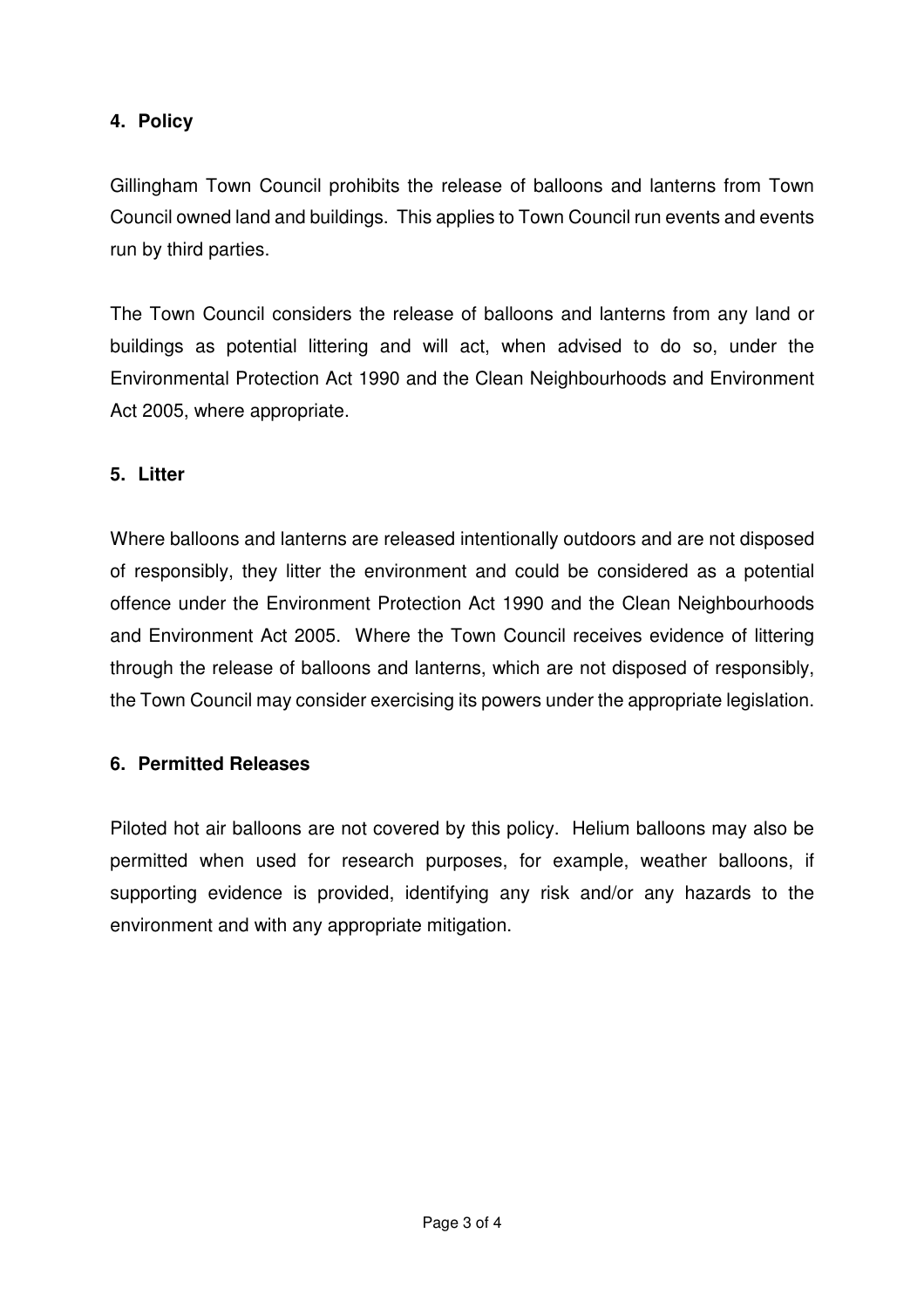## **4. Policy**

Gillingham Town Council prohibits the release of balloons and lanterns from Town Council owned land and buildings. This applies to Town Council run events and events run by third parties.

The Town Council considers the release of balloons and lanterns from any land or buildings as potential littering and will act, when advised to do so, under the Environmental Protection Act 1990 and the Clean Neighbourhoods and Environment Act 2005, where appropriate.

## **5. Litter**

Where balloons and lanterns are released intentionally outdoors and are not disposed of responsibly, they litter the environment and could be considered as a potential offence under the Environment Protection Act 1990 and the Clean Neighbourhoods and Environment Act 2005. Where the Town Council receives evidence of littering through the release of balloons and lanterns, which are not disposed of responsibly, the Town Council may consider exercising its powers under the appropriate legislation.

## **6. Permitted Releases**

Piloted hot air balloons are not covered by this policy. Helium balloons may also be permitted when used for research purposes, for example, weather balloons, if supporting evidence is provided, identifying any risk and/or any hazards to the environment and with any appropriate mitigation.